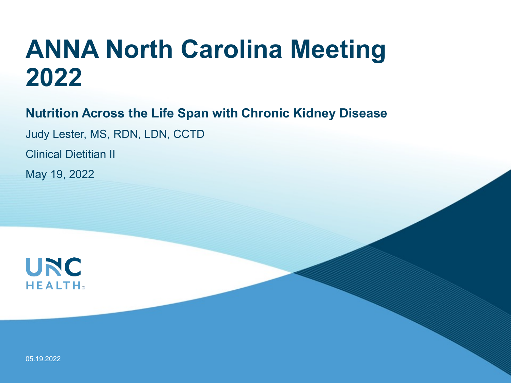# **ANNA North Carolina Meeting 2022**

**Nutrition Across the Life Span with Chronic Kidney Disease**

Judy Lester, MS, RDN, LDN, CCTD

Clinical Dietitian II

May 19, 2022

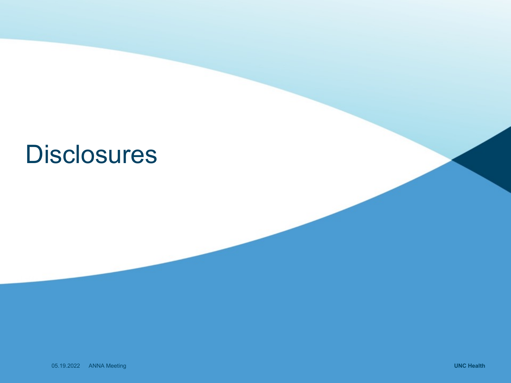# **Disclosures**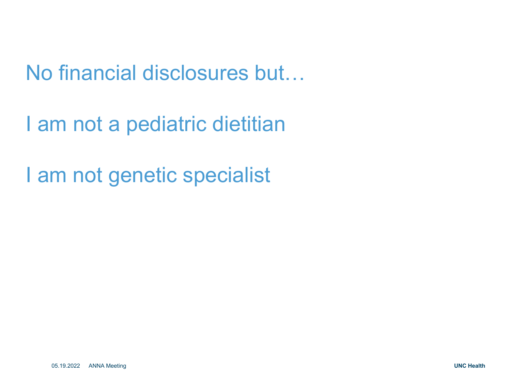No financial disclosures but…

I am not a pediatric dietitian

I am not genetic specialist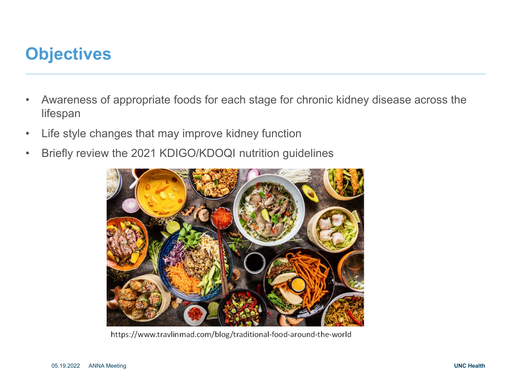## **Objectives**

- Awareness of appropriate foods for each stage for chronic kidney disease across the lifespan
- Life style changes that may improve kidney function
- Briefly review the 2021 KDIGO/KDOQI nutrition guidelines



https://www.travlinmad.com/blog/traditional-food-around-the-world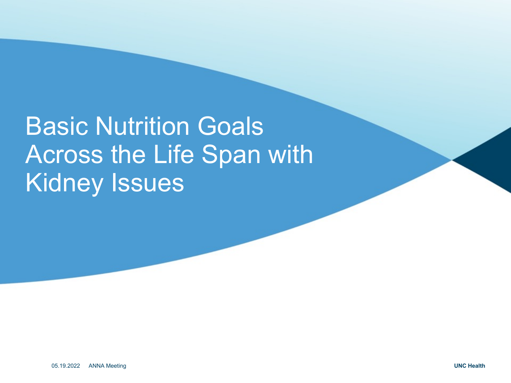# **Basic Nutrition Goals** Across the Life Span with Kidney Issues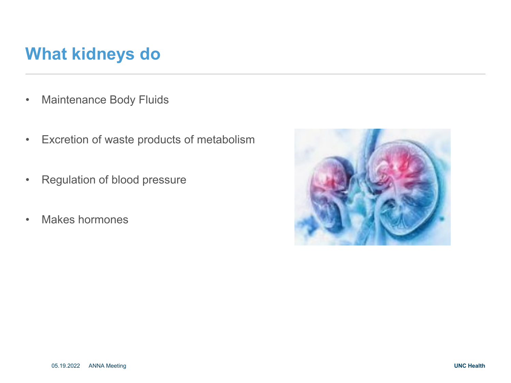## **What kidneys do**

- Maintenance Body Fluids
- Excretion of waste products of metabolism
- Regulation of blood pressure
- Makes hormones

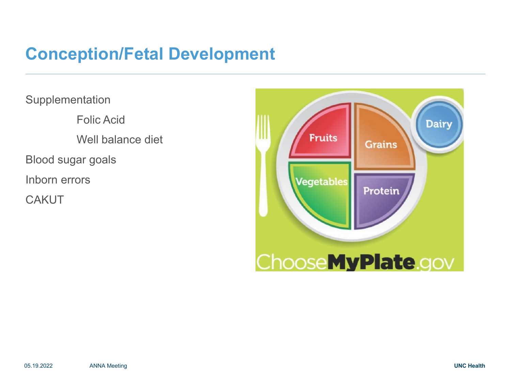## **Conception/Fetal Development**

**Supplementation** Folic Acid Well balance diet Blood sugar goals Inborn errors **CAKUT** 

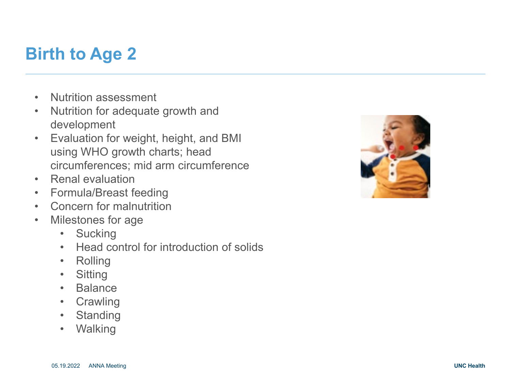## **Birth to Age 2**

- Nutrition assessment
- Nutrition for adequate growth and development
- Evaluation for weight, height, and BMI using WHO growth charts; head circumferences; mid arm circumference
- 
- Renal evaluation<br>• Formula/Breast feeding
- Concern for malnutrition
- Milestones for age
	- Sucking
	- Head control for introduction of solids
	- Rolling<br>• Sitting
	-
	- Balance
	- Crawling
	- Standing
	- Walking

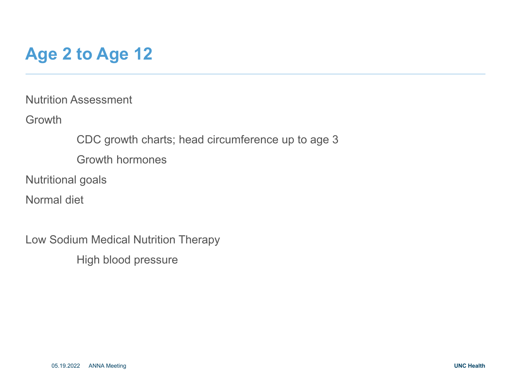# **Age 2 to Age 12**

Nutrition Assessment

**Growth** 

CDC growth charts; head circumference up to age 3

Growth hormones

Nutritional goals

Normal diet

Low Sodium Medical Nutrition Therapy High blood pressure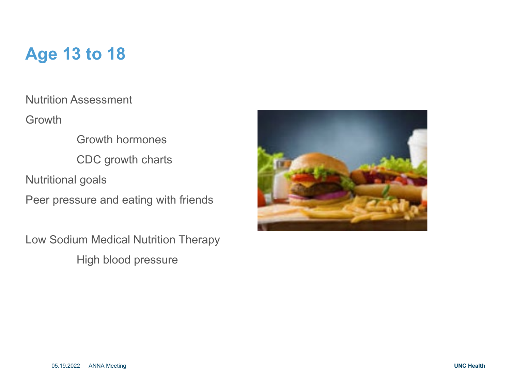## **Age 13 to 18**

Nutrition Assessment

Growth

Growth hormones CDC growth charts Nutritional goals

Peer pressure and eating with friends

Low Sodium Medical Nutrition Therapy High blood pressure

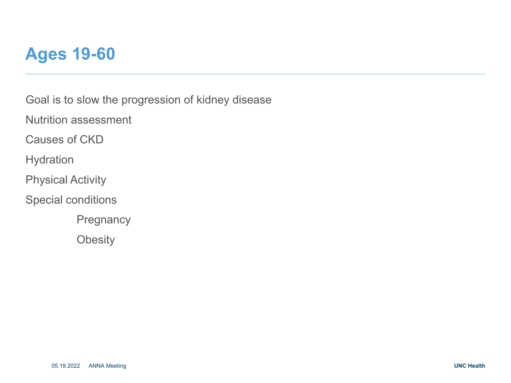

Goal is to slow the progression of kidney disease

Nutrition assessment

Causes of CKD

Hydration

Physical Activity

Special conditions

**Pregnancy** 

**Obesity**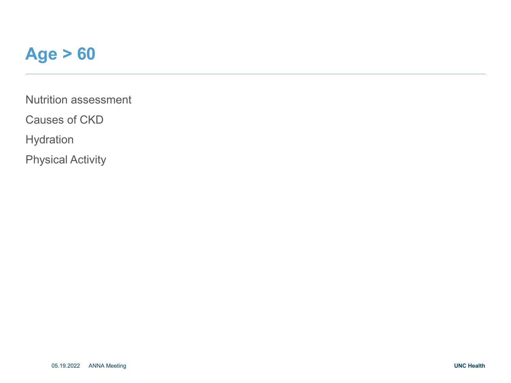### **Age > 60**

Nutrition assessment

Causes of CKD

Hydration

Physical Activity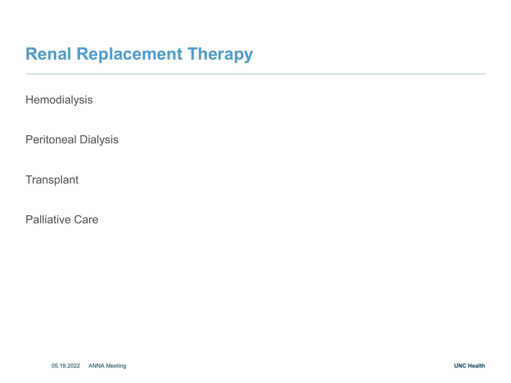## **Renal Replacement Therapy**

**Hemodialysis** 

Peritoneal Dialysis

**Transplant** 

Palliative Care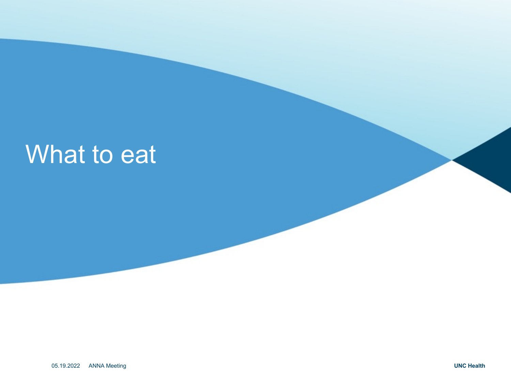# What to eat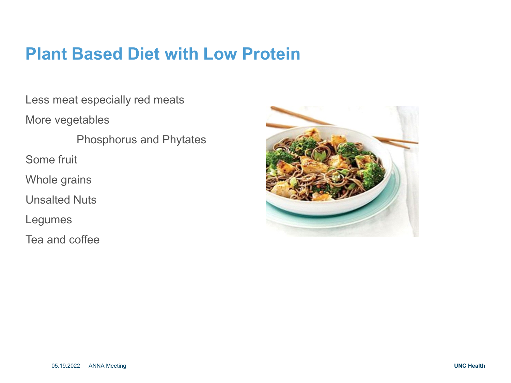#### **Plant Based Diet with Low Protein**

Less meat especially red meats

More vegetables

Phosphorus and Phytates

Some fruit

Whole grains

Unsalted Nuts

Legumes

Tea and coffee

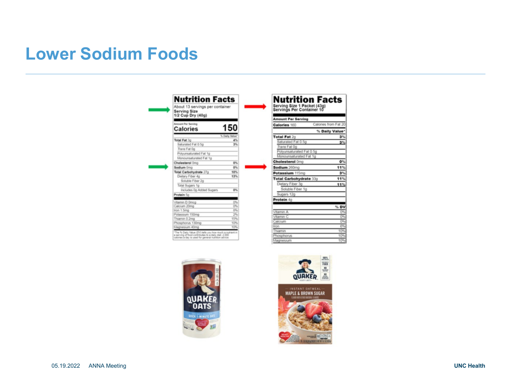## **Lower Sodium Foods**

| <b>Serving Size</b><br>1/2 Cup Dry (40g)                                                                     |                |
|--------------------------------------------------------------------------------------------------------------|----------------|
| <b>Amount Per Serving</b>                                                                                    | 150            |
| <b>Calories</b>                                                                                              |                |
|                                                                                                              | % Daily Value* |
| <b>Total Fat 3g</b>                                                                                          | 4%             |
| Saturated Fat 0.5g                                                                                           | 3%             |
| Trans Fat Do                                                                                                 |                |
| Polyunsaturated Fat 1g                                                                                       |                |
| Monounsaturated Fat 1o.                                                                                      |                |
| Cholesterol Omg                                                                                              | 0%             |
| Sodium Oma                                                                                                   | 0%             |
| Total Carbohydrate 27g                                                                                       | 10%            |
| Dietary Fiber 4g                                                                                             | 13%            |
| Soluble Fiber 2g                                                                                             |                |
| Total Sugars 1g                                                                                              |                |
| Includes 0g Added Sugars                                                                                     | 0%             |
| Protein 5g                                                                                                   |                |
| Vitamin D Omcg                                                                                               | O%             |
| Calcium 20mg                                                                                                 | O%             |
| Iron 1.5mg                                                                                                   | 8%             |
| Potassium 150mg                                                                                              | 2%             |
| Thiamin 0.2mg                                                                                                | 15%            |
| Phosphorus 130mg                                                                                             | 10%            |
| Magnesium 40mg                                                                                               | 10%            |
| "The % Daily Value (DV) tells you how much a nutrient in                                                     |                |
| a serving of food contributes to a daily diet. 2,000<br>calories a day is used for general nutrition advice. |                |
|                                                                                                              |                |





> $0\%$ 11%  $3%$  $11%$ 11%

 $%$  DV  $\frac{0\%}{0\%}$ 0%

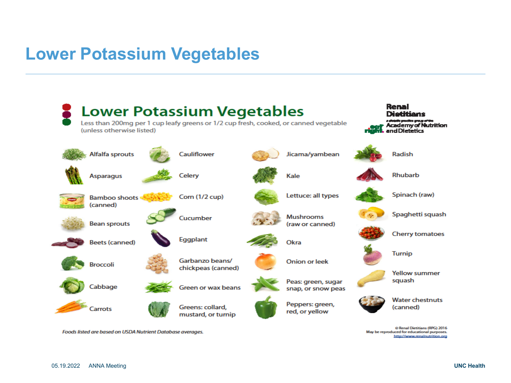## **Lower Potassium Vegetables**



Foods listed are based on USDA Nutrient Database averages.

May be reproduced for educational purposes. http://www.renalnutrition.org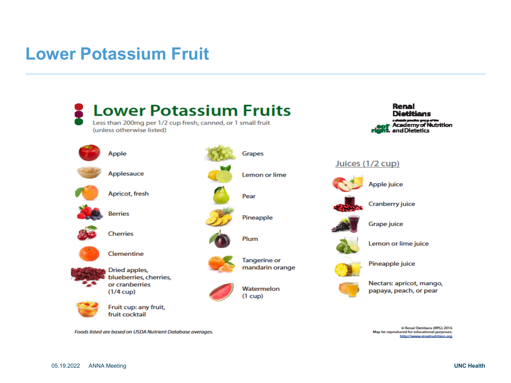#### **Lower Potassium Fruit**



Foods listed are based on USDA Nutrient Database averages.

May be reproduced for educational purposes. http://www.renalnutrition.org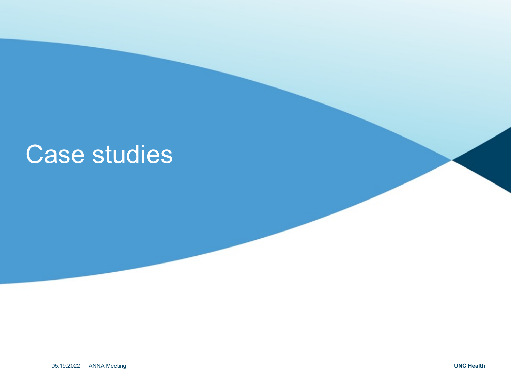# Case studies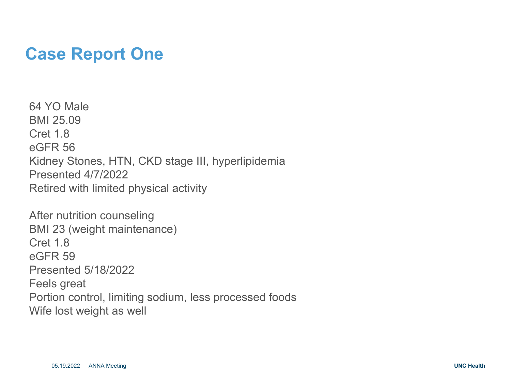#### **Case Report One**

64 YO Male BMI 25.09 Cret 1.8 eGFR 56 Kidney Stones, HTN, CKD stage III, hyperlipidemia Presented 4/7/2022 Retired with limited physical activity

After nutrition counseling BMI 23 (weight maintenance) Cret 1.8 eGFR 59 Presented 5/18/2022 Feels great Portion control, limiting sodium, less processed foods Wife lost weight as well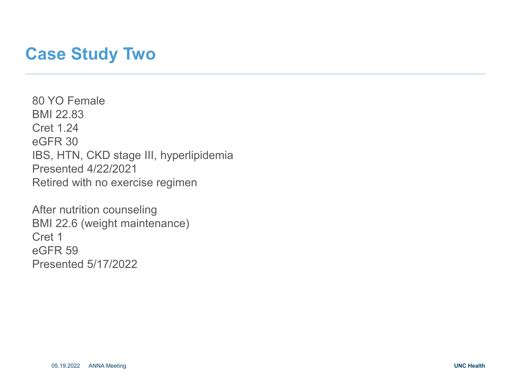#### **Case Study Two**

80 YO Female BMI 22.83 Cret 1.24 eGFR 30 IBS, HTN, CKD stage III, hyperlipidemia Presented 4/22/2021 Retired with no exercise regimen

After nutrition counseling BMI 22.6 (weight maintenance) Cret 1 eGFR 59 Presented 5/17/2022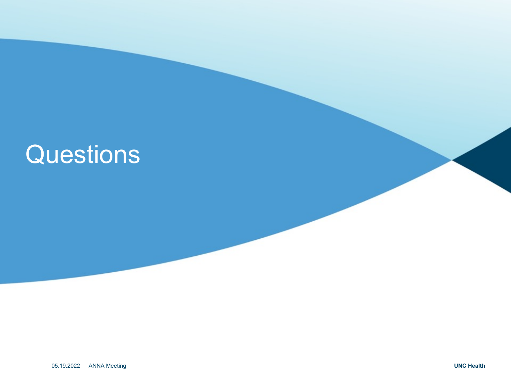# **Questions**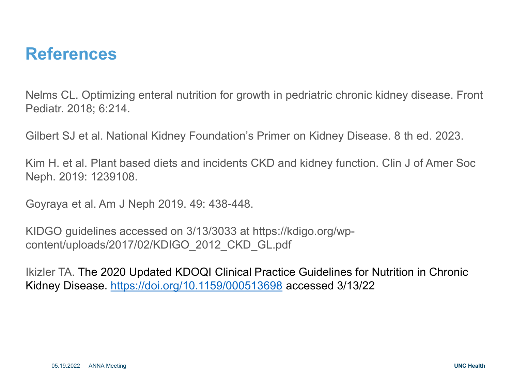#### **References**

Nelms CL. Optimizing enteral nutrition for growth in pedriatric chronic kidney disease. Front Pediatr. 2018; 6:214.

Gilbert SJ et al. National Kidney Foundation's Primer on Kidney Disease. 8 th ed. 2023.

Kim H. et al. Plant based diets and incidents CKD and kidney function. Clin J of Amer Soc Neph. 2019: 1239108.

Goyraya et al. Am J Neph 2019. 49: 438-448.

KIDGO guidelines accessed on 3/13/3033 at https://kdigo.org/wpcontent/uploads/2017/02/KDIGO\_2012\_CKD\_GL.pdf

Ikizler TA. The 2020 Updated KDOQI Clinical Practice Guidelines for Nutrition in Chronic Kidney Disease. <https://doi.org/10.1159/000513698> accessed 3/13/22